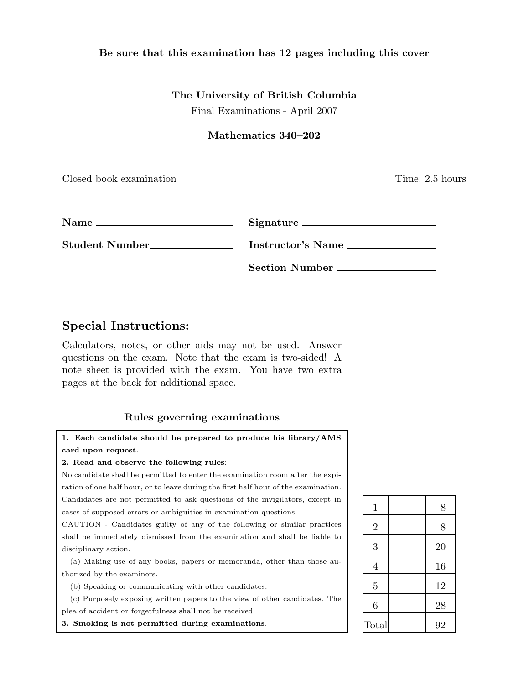### Be sure that this examination has 12 pages including this cover

## The University of British Columbia Final Examinations - April 2007

#### Mathematics 340–202

Closed book examination Time: 2.5 hours

| <b>Name</b>           | Signature             |
|-----------------------|-----------------------|
| <b>Student Number</b> | Instructor's Name     |
|                       | <b>Section Number</b> |

# Special Instructions:

Calculators, notes, or other aids may not be used. Answer questions on the exam. Note that the exam is two-sided! A note sheet is provided with the exam. You have two extra pages at the back for additional space.

## Rules governing examinations

| 1. Each candidate should be prepared to produce his library/AMS                     |  |  |  |
|-------------------------------------------------------------------------------------|--|--|--|
| card upon request.                                                                  |  |  |  |
| 2. Read and observe the following rules:                                            |  |  |  |
| No candidate shall be permitted to enter the examination room after the expi-       |  |  |  |
| ration of one half hour, or to leave during the first half hour of the examination. |  |  |  |
| Candidates are not permitted to ask questions of the invigilators, except in        |  |  |  |
| cases of supposed errors or ambiguities in examination questions.                   |  |  |  |
| CAUTION - Candidates guilty of any of the following or similar practices            |  |  |  |
| shall be immediately dismissed from the examination and shall be liable to          |  |  |  |
| disciplinary action.                                                                |  |  |  |
| (a) Making use of any books, papers or memoranda, other than those au-              |  |  |  |
| thorized by the examiners.                                                          |  |  |  |
| (b) Speaking or communicating with other candidates.                                |  |  |  |
| (c) Purposely exposing written papers to the view of other candidates. The          |  |  |  |
| plea of accident or forgetfulness shall not be received.                            |  |  |  |
| 3. Smoking is not permitted during examinations.                                    |  |  |  |
|                                                                                     |  |  |  |

| $\mathbf 1$    | 8  |
|----------------|----|
| $\overline{2}$ | 8  |
| 3              | 20 |
| $\overline{4}$ | 16 |
| $\overline{5}$ | 12 |
| 6              | 28 |
| Total          | 92 |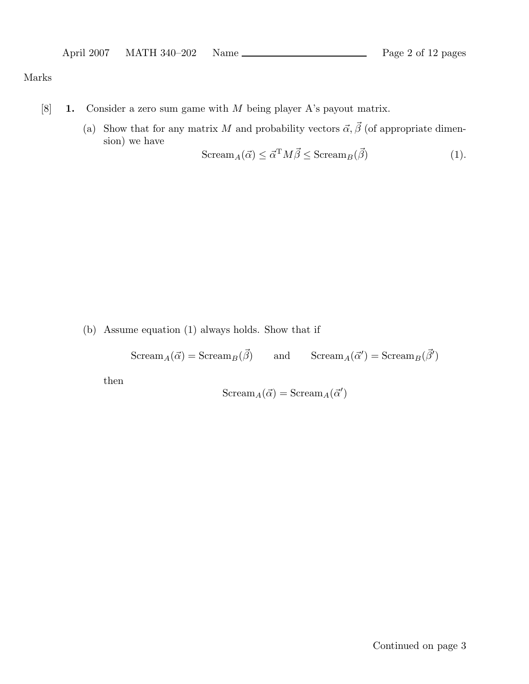### Marks

- [8] 1. Consider a zero sum game with M being player A's payout matrix.
	- (a) Show that for any matrix M and probability vectors  $\vec{\alpha}, \vec{\beta}$  (of appropriate dimension) we have

$$
\text{Screen}_A(\vec{\alpha}) \le \vec{\alpha}^{\text{T}} M \vec{\beta} \le \text{Screen}_B(\vec{\beta}) \tag{1}.
$$

(b) Assume equation (1) always holds. Show that if

 $\text{Screen}_A(\vec{\alpha}) = \text{Screen}_B(\vec{\beta})$  and  $\text{Screen}_A(\vec{\alpha}') = \text{Screen}_B(\vec{\beta}')$ 

then

$$
\text{Screen}_A(\vec{\alpha}) = \text{Screen}_A(\vec{\alpha}')
$$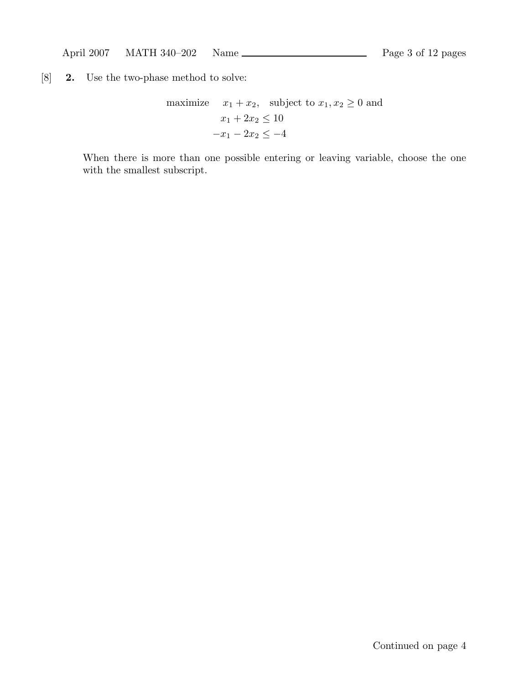## [8] 2. Use the two-phase method to solve:

maximize 
$$
x_1 + x_2
$$
, subject to  $x_1, x_2 \ge 0$  and  
 $x_1 + 2x_2 \le 10$   
 $-x_1 - 2x_2 \le -4$ 

When there is more than one possible entering or leaving variable, choose the one with the smallest subscript.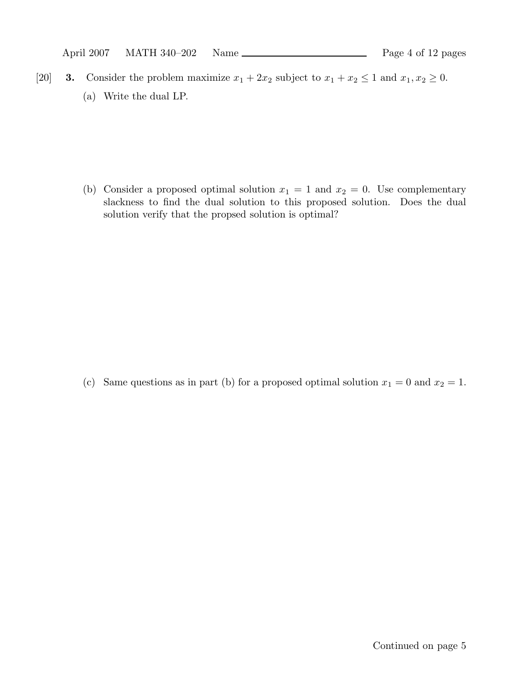- [20] **3.** Consider the problem maximize  $x_1 + 2x_2$  subject to  $x_1 + x_2 \le 1$  and  $x_1, x_2 \ge 0$ .
	- (a) Write the dual LP.

(b) Consider a proposed optimal solution  $x_1 = 1$  and  $x_2 = 0$ . Use complementary slackness to find the dual solution to this proposed solution. Does the dual solution verify that the propsed solution is optimal?

(c) Same questions as in part (b) for a proposed optimal solution  $x_1 = 0$  and  $x_2 = 1$ .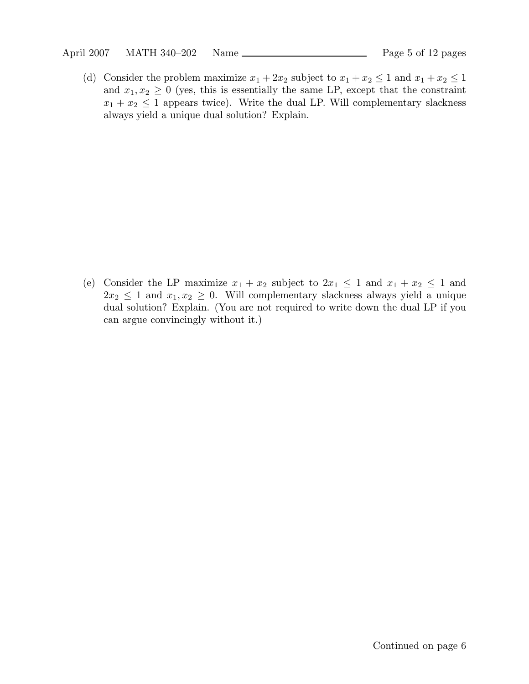(d) Consider the problem maximize  $x_1 + 2x_2$  subject to  $x_1 + x_2 \le 1$  and  $x_1 + x_2 \le 1$ and  $x_1, x_2 \geq 0$  (yes, this is essentially the same LP, except that the constraint  $x_1 + x_2 \leq 1$  appears twice). Write the dual LP. Will complementary slackness always yield a unique dual solution? Explain.

(e) Consider the LP maximize  $x_1 + x_2$  subject to  $2x_1 \leq 1$  and  $x_1 + x_2 \leq 1$  and  $2x_2 \leq 1$  and  $x_1, x_2 \geq 0$ . Will complementary slackness always yield a unique dual solution? Explain. (You are not required to write down the dual LP if you can argue convincingly without it.)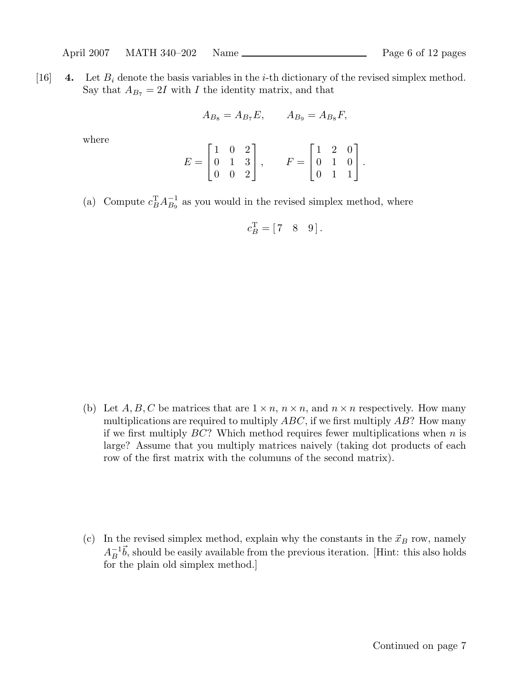[16] **4.** Let  $B_i$  denote the basis variables in the *i*-th dictionary of the revised simplex method. Say that  $A_{B_7} = 2I$  with I the identity matrix, and that

$$
A_{B_8} = A_{B_7} E, \qquad A_{B_9} = A_{B_8} F,
$$

where

$$
E = \begin{bmatrix} 1 & 0 & 2 \\ 0 & 1 & 3 \\ 0 & 0 & 2 \end{bmatrix}, \qquad F = \begin{bmatrix} 1 & 2 & 0 \\ 0 & 1 & 0 \\ 0 & 1 & 1 \end{bmatrix}.
$$

(a) Compute  $c_B^T A_{B_9}^{-1}$  as you would in the revised simplex method, where

$$
c_B^{\mathrm{T}} = \begin{bmatrix} 7 & 8 & 9 \end{bmatrix}.
$$

(b) Let A, B, C be matrices that are  $1 \times n$ ,  $n \times n$ , and  $n \times n$  respectively. How many multiplications are required to multiply  $ABC$ , if we first multiply  $AB$ ? How many if we first multiply  $BC$ ? Which method requires fewer multiplications when n is large? Assume that you multiply matrices naively (taking dot products of each row of the first matrix with the columuns of the second matrix).

(c) In the revised simplex method, explain why the constants in the  $\vec{x}_B$  row, namely  $A_B^{-1}$ , should be easily available from the previous iteration. [Hint: this also holds for the plain old simplex method.]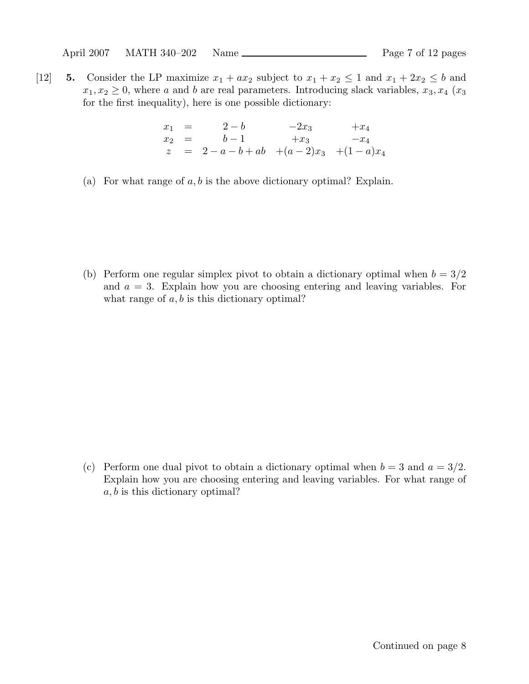[12] 5. Consider the LP maximize  $x_1 + ax_2$  subject to  $x_1 + x_2 \le 1$  and  $x_1 + 2x_2 \le b$  and  $x_1, x_2 \geq 0$ , where a and b are real parameters. Introducing slack variables,  $x_3, x_4$  ( $x_3$ ) for the first inequality), here is one possible dictionary:

| $x_1 =$ | $2-b$                                          | $-2x_3$ | $+x_4$ |
|---------|------------------------------------------------|---------|--------|
|         | $x_2 = b-1 +x_3 -x_4$                          |         |        |
|         | $z = 2 - a - b + ab + (a - 2)x_3 + (1 - a)x_4$ |         |        |

(a) For what range of  $a, b$  is the above dictionary optimal? Explain.

(b) Perform one regular simplex pivot to obtain a dictionary optimal when  $b = 3/2$ and  $a = 3$ . Explain how you are choosing entering and leaving variables. For what range of  $a, b$  is this dictionary optimal?

(c) Perform one dual pivot to obtain a dictionary optimal when  $b = 3$  and  $a = 3/2$ . Explain how you are choosing entering and leaving variables. For what range of  $a, b$  is this dictionary optimal?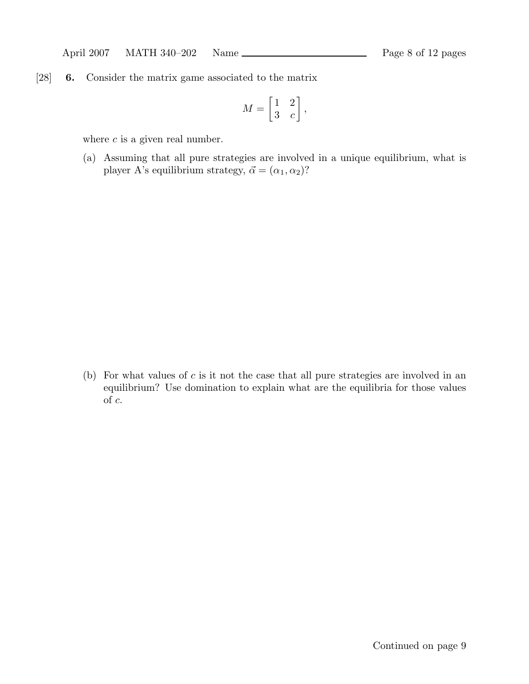[28] 6. Consider the matrix game associated to the matrix

$$
M = \begin{bmatrix} 1 & 2 \\ 3 & c \end{bmatrix},
$$

where  $c$  is a given real number.

(a) Assuming that all pure strategies are involved in a unique equilibrium, what is player A's equilibrium strategy,  $\vec{\alpha} = (\alpha_1, \alpha_2)$ ?

(b) For what values of  $c$  is it not the case that all pure strategies are involved in an equilibrium? Use domination to explain what are the equilibria for those values of c.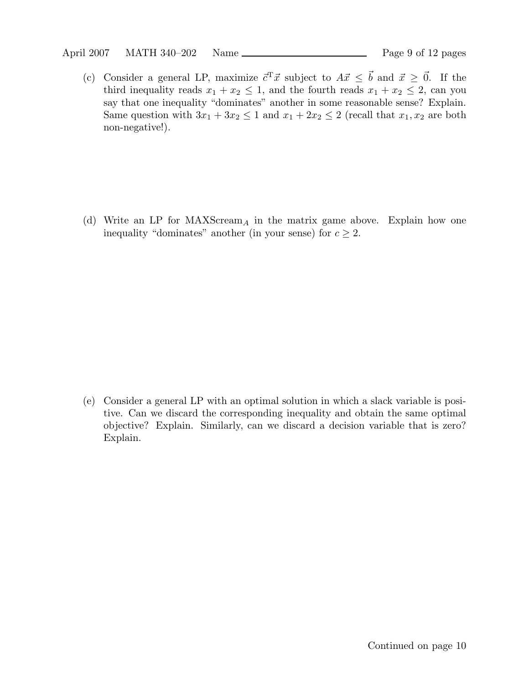(c) Consider a general LP, maximize  $\vec{c}^T \vec{x}$  subject to  $A\vec{x} \leq \vec{b}$  and  $\vec{x} \geq \vec{0}$ . If the third inequality reads  $x_1 + x_2 \leq 1$ , and the fourth reads  $x_1 + x_2 \leq 2$ , can you say that one inequality "dominates" another in some reasonable sense? Explain. Same question with  $3x_1 + 3x_2 \le 1$  and  $x_1 + 2x_2 \le 2$  (recall that  $x_1, x_2$  are both non-negative!).

(d) Write an LP for  $MAXScreen_A$  in the matrix game above. Explain how one inequality "dominates" another (in your sense) for  $c \geq 2$ .

(e) Consider a general LP with an optimal solution in which a slack variable is positive. Can we discard the corresponding inequality and obtain the same optimal objective? Explain. Similarly, can we discard a decision variable that is zero? Explain.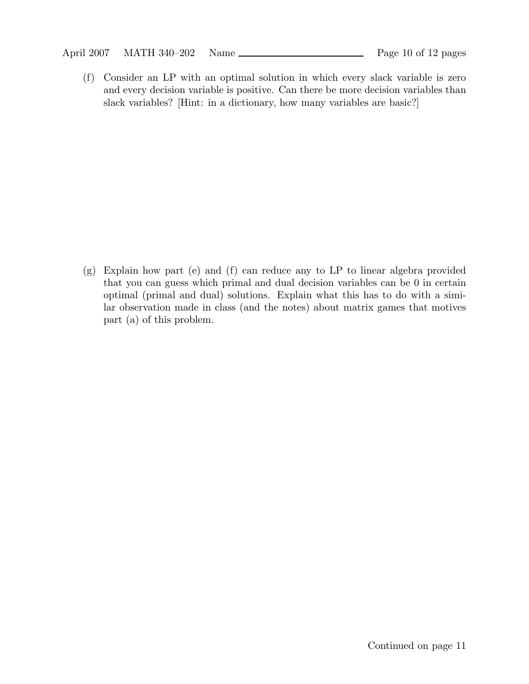(f) Consider an LP with an optimal solution in which every slack variable is zero and every decision variable is positive. Can there be more decision variables than slack variables? [Hint: in a dictionary, how many variables are basic?]

(g) Explain how part (e) and (f) can reduce any to LP to linear algebra provided that you can guess which primal and dual decision variables can be 0 in certain optimal (primal and dual) solutions. Explain what this has to do with a similar observation made in class (and the notes) about matrix games that motives part (a) of this problem.